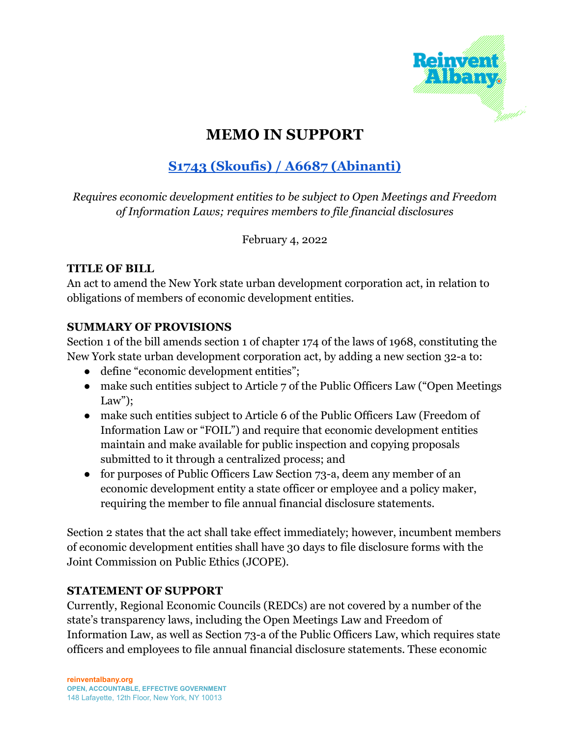

## **MEMO IN SUPPORT**

# **S1743 (Skoufis) / A6687 [\(Abinanti\)](https://www.nysenate.gov/legislation/bills/2021/s1743)**

*Requires economic development entities to be subject to Open Meetings and Freedom of Information Laws; requires members to file financial disclosures*

February 4, 2022

#### **TITLE OF BILL**

An act to amend the New York state urban development corporation act, in relation to obligations of members of economic development entities.

## **SUMMARY OF PROVISIONS**

Section 1 of the bill amends section 1 of chapter 174 of the laws of 1968, constituting the New York state urban development corporation act, by adding a new section 32-a to:

- define "economic development entities";
- make such entities subject to Article 7 of the Public Officers Law ("Open Meetings") Law":
- make such entities subject to Article 6 of the Public Officers Law (Freedom of Information Law or "FOIL") and require that economic development entities maintain and make available for public inspection and copying proposals submitted to it through a centralized process; and
- for purposes of Public Officers Law Section 73-a, deem any member of an economic development entity a state officer or employee and a policy maker, requiring the member to file annual financial disclosure statements.

Section 2 states that the act shall take effect immediately; however, incumbent members of economic development entities shall have 30 days to file disclosure forms with the Joint Commission on Public Ethics (JCOPE).

## **STATEMENT OF SUPPORT**

Currently, Regional Economic Councils (REDCs) are not covered by a number of the state's transparency laws, including the Open Meetings Law and Freedom of Information Law, as well as Section 73-a of the Public Officers Law, which requires state officers and employees to file annual financial disclosure statements. These economic